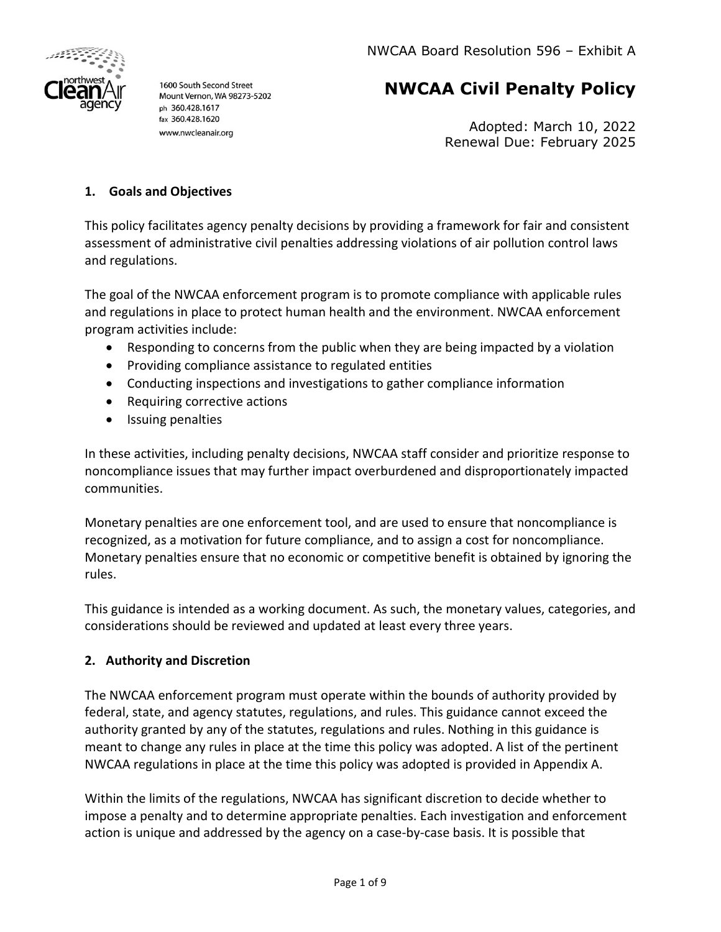

1600 South Second Street Mount Vernon, WA 98273-5202 ph 360.428.1617 fax 360.428.1620 www.nwcleanair.org

# **NWCAA Civil Penalty Policy**

Adopted: March 10, 2022 Renewal Due: February 2025

### **1. Goals and Objectives**

This policy facilitates agency penalty decisions by providing a framework for fair and consistent assessment of administrative civil penalties addressing violations of air pollution control laws and regulations.

The goal of the NWCAA enforcement program is to promote compliance with applicable rules and regulations in place to protect human health and the environment. NWCAA enforcement program activities include:

- Responding to concerns from the public when they are being impacted by a violation
- Providing compliance assistance to regulated entities
- Conducting inspections and investigations to gather compliance information
- Requiring corrective actions
- Issuing penalties

In these activities, including penalty decisions, NWCAA staff consider and prioritize response to noncompliance issues that may further impact overburdened and disproportionately impacted communities.

Monetary penalties are one enforcement tool, and are used to ensure that noncompliance is recognized, as a motivation for future compliance, and to assign a cost for noncompliance. Monetary penalties ensure that no economic or competitive benefit is obtained by ignoring the rules.

This guidance is intended as a working document. As such, the monetary values, categories, and considerations should be reviewed and updated at least every three years.

### **2. Authority and Discretion**

The NWCAA enforcement program must operate within the bounds of authority provided by federal, state, and agency statutes, regulations, and rules. This guidance cannot exceed the authority granted by any of the statutes, regulations and rules. Nothing in this guidance is meant to change any rules in place at the time this policy was adopted. A list of the pertinent NWCAA regulations in place at the time this policy was adopted is provided in Appendix A.

Within the limits of the regulations, NWCAA has significant discretion to decide whether to impose a penalty and to determine appropriate penalties. Each investigation and enforcement action is unique and addressed by the agency on a case-by-case basis. It is possible that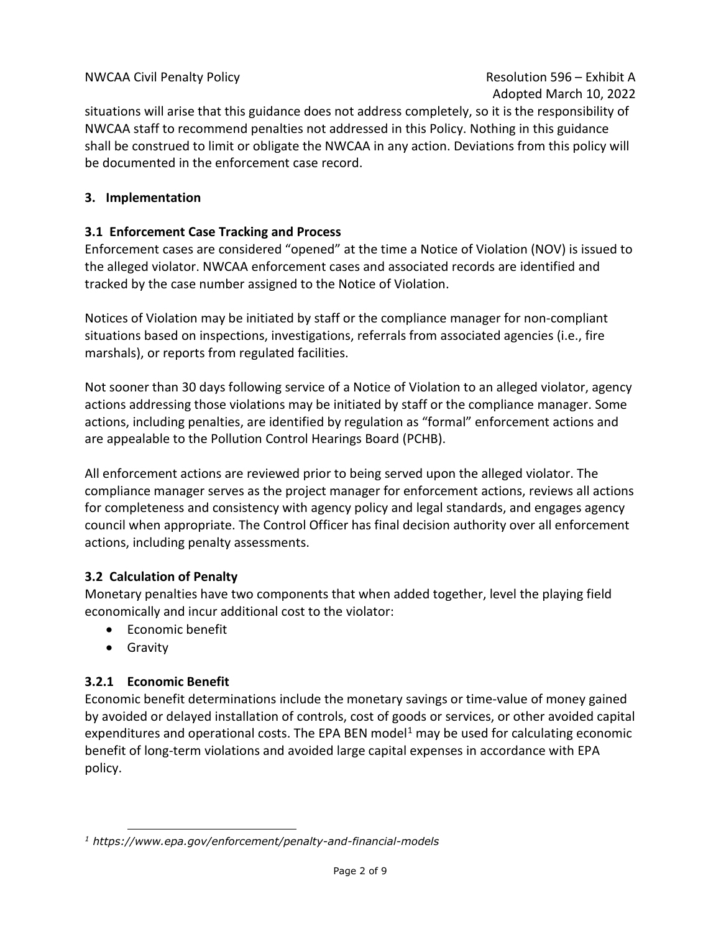situations will arise that this guidance does not address completely, so it is the responsibility of NWCAA staff to recommend penalties not addressed in this Policy. Nothing in this guidance shall be construed to limit or obligate the NWCAA in any action. Deviations from this policy will be documented in the enforcement case record.

### **3. Implementation**

### **3.1 Enforcement Case Tracking and Process**

Enforcement cases are considered "opened" at the time a Notice of Violation (NOV) is issued to the alleged violator. NWCAA enforcement cases and associated records are identified and tracked by the case number assigned to the Notice of Violation.

Notices of Violation may be initiated by staff or the compliance manager for non-compliant situations based on inspections, investigations, referrals from associated agencies (i.e., fire marshals), or reports from regulated facilities.

Not sooner than 30 days following service of a Notice of Violation to an alleged violator, agency actions addressing those violations may be initiated by staff or the compliance manager. Some actions, including penalties, are identified by regulation as "formal" enforcement actions and are appealable to the Pollution Control Hearings Board (PCHB).

All enforcement actions are reviewed prior to being served upon the alleged violator. The compliance manager serves as the project manager for enforcement actions, reviews all actions for completeness and consistency with agency policy and legal standards, and engages agency council when appropriate. The Control Officer has final decision authority over all enforcement actions, including penalty assessments.

### **3.2 Calculation of Penalty**

Monetary penalties have two components that when added together, level the playing field economically and incur additional cost to the violator:

- Economic benefit
- Gravity

## **3.2.1 Economic Benefit**

Economic benefit determinations include the monetary savings or time-value of money gained by avoided or delayed installation of controls, cost of goods or services, or other avoided capital expenditures and operational costs. The EPA BEN model<sup>[1](#page-1-0)</sup> may be used for calculating economic benefit of long-term violations and avoided large capital expenses in accordance with EPA policy.

<span id="page-1-0"></span>*<sup>1</sup> https://www.epa.gov/enforcement/penalty-and-financial-models*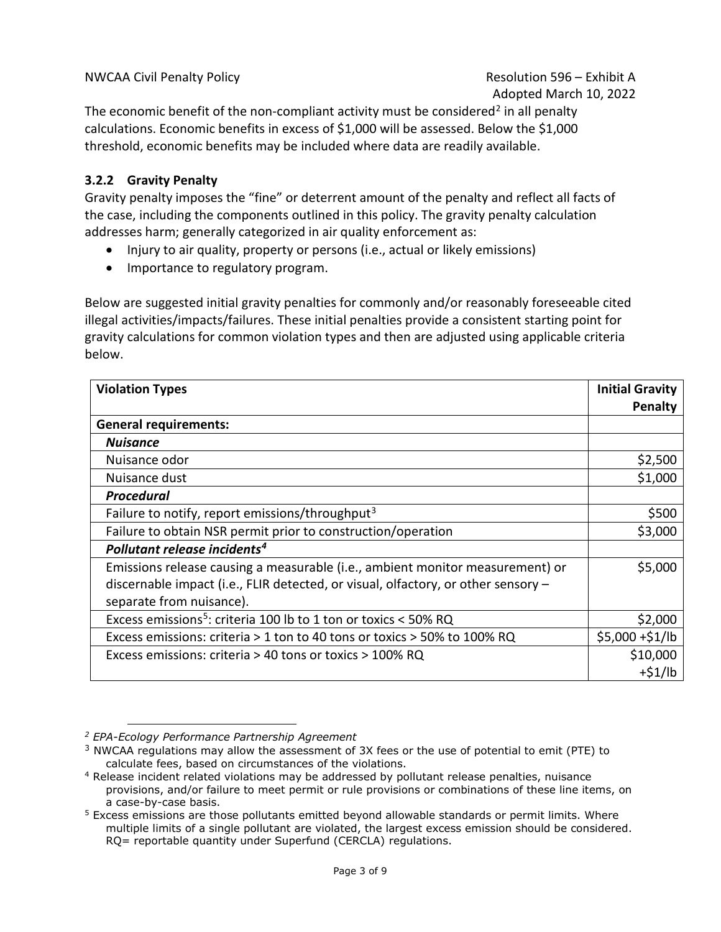The economic benefit of the non-compliant activity must be considered<sup>[2](#page-2-0)</sup> in all penalty calculations. Economic benefits in excess of \$1,000 will be assessed. Below the \$1,000 threshold, economic benefits may be included where data are readily available.

### **3.2.2 Gravity Penalty**

Gravity penalty imposes the "fine" or deterrent amount of the penalty and reflect all facts of the case, including the components outlined in this policy. The gravity penalty calculation addresses harm; generally categorized in air quality enforcement as:

- Injury to air quality, property or persons (i.e., actual or likely emissions)
- Importance to regulatory program.

Below are suggested initial gravity penalties for commonly and/or reasonably foreseeable cited illegal activities/impacts/failures. These initial penalties provide a consistent starting point for gravity calculations for common violation types and then are adjusted using applicable criteria below.

| <b>Violation Types</b>                                                            | <b>Initial Gravity</b> |
|-----------------------------------------------------------------------------------|------------------------|
|                                                                                   | Penalty                |
| <b>General requirements:</b>                                                      |                        |
| <b>Nuisance</b>                                                                   |                        |
| Nuisance odor                                                                     | \$2,500                |
| Nuisance dust                                                                     | \$1,000                |
| <b>Procedural</b>                                                                 |                        |
| Failure to notify, report emissions/throughput <sup>3</sup>                       | \$500                  |
| Failure to obtain NSR permit prior to construction/operation                      | \$3,000                |
| Pollutant release incidents <sup>4</sup>                                          |                        |
| Emissions release causing a measurable (i.e., ambient monitor measurement) or     | \$5,000                |
| discernable impact (i.e., FLIR detected, or visual, olfactory, or other sensory - |                        |
| separate from nuisance).                                                          |                        |
| Excess emissions <sup>5</sup> : criteria 100 lb to 1 ton or toxics < 50% RQ       | \$2,000                |
| Excess emissions: criteria > 1 ton to 40 tons or toxics > 50% to 100% RQ          | $$5,000 + $1/lb$       |
| Excess emissions: criteria > 40 tons or toxics > 100% RQ                          | \$10,000               |
|                                                                                   | $+51/lb$               |

<span id="page-2-0"></span>*<sup>2</sup> EPA-Ecology Performance Partnership Agreement*

<span id="page-2-1"></span> $3$  NWCAA regulations may allow the assessment of 3X fees or the use of potential to emit (PTE) to calculate fees, based on circumstances of the violations.

<span id="page-2-2"></span><sup>4</sup> Release incident related violations may be addressed by pollutant release penalties, nuisance provisions, and/or failure to meet permit or rule provisions or combinations of these line items, on a case-by-case basis.

<span id="page-2-3"></span><sup>5</sup> Excess emissions are those pollutants emitted beyond allowable standards or permit limits. Where multiple limits of a single pollutant are violated, the largest excess emission should be considered. RQ= reportable quantity under Superfund (CERCLA) regulations.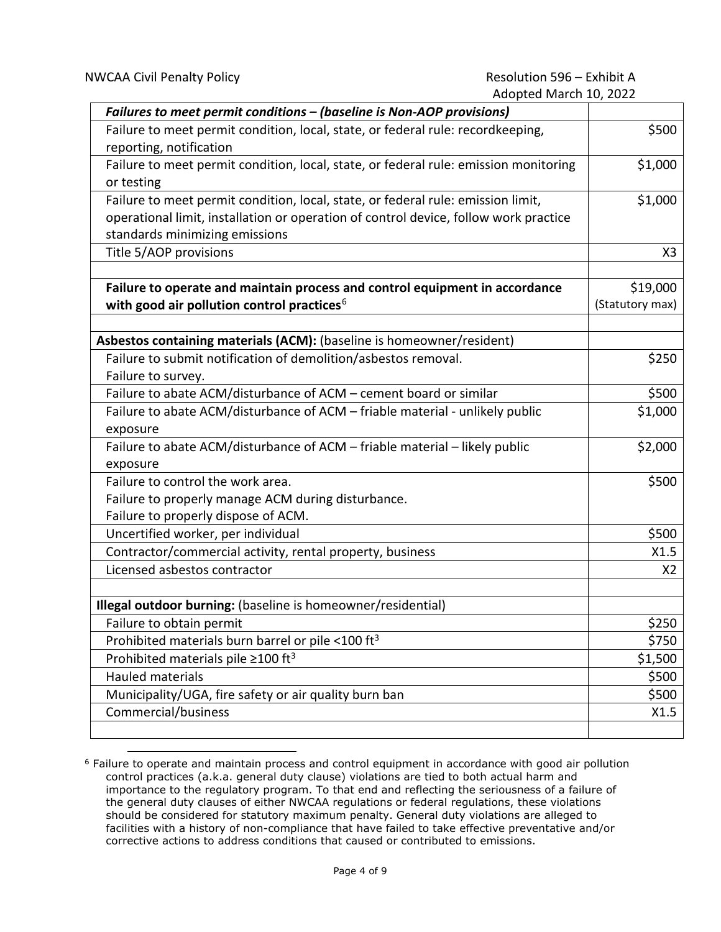| Failures to meet permit conditions - (baseline is Non-AOP provisions)                                                                                                                                      |                             |
|------------------------------------------------------------------------------------------------------------------------------------------------------------------------------------------------------------|-----------------------------|
| Failure to meet permit condition, local, state, or federal rule: recordkeeping,<br>reporting, notification                                                                                                 | \$500                       |
| Failure to meet permit condition, local, state, or federal rule: emission monitoring<br>or testing                                                                                                         | \$1,000                     |
| Failure to meet permit condition, local, state, or federal rule: emission limit,<br>operational limit, installation or operation of control device, follow work practice<br>standards minimizing emissions | \$1,000                     |
| Title 5/AOP provisions                                                                                                                                                                                     | X3                          |
|                                                                                                                                                                                                            |                             |
| Failure to operate and maintain process and control equipment in accordance<br>with good air pollution control practices <sup>6</sup>                                                                      | \$19,000<br>(Statutory max) |
| Asbestos containing materials (ACM): (baseline is homeowner/resident)                                                                                                                                      |                             |
| Failure to submit notification of demolition/asbestos removal.                                                                                                                                             | \$250                       |
| Failure to survey.                                                                                                                                                                                         |                             |
| Failure to abate ACM/disturbance of ACM - cement board or similar                                                                                                                                          | \$500                       |
| Failure to abate ACM/disturbance of ACM - friable material - unlikely public                                                                                                                               | \$1,000                     |
| exposure                                                                                                                                                                                                   |                             |
| Failure to abate ACM/disturbance of ACM - friable material - likely public<br>exposure                                                                                                                     | \$2,000                     |
| Failure to control the work area.                                                                                                                                                                          | \$500                       |
| Failure to properly manage ACM during disturbance.                                                                                                                                                         |                             |
| Failure to properly dispose of ACM.                                                                                                                                                                        |                             |
| Uncertified worker, per individual                                                                                                                                                                         | \$500                       |
| Contractor/commercial activity, rental property, business                                                                                                                                                  | X1.5                        |
| Licensed asbestos contractor                                                                                                                                                                               | X <sub>2</sub>              |
|                                                                                                                                                                                                            |                             |
| Illegal outdoor burning: (baseline is homeowner/residential)                                                                                                                                               |                             |
| Failure to obtain permit                                                                                                                                                                                   | \$250                       |
| Prohibited materials burn barrel or pile <100 ft <sup>3</sup>                                                                                                                                              | \$750                       |
| Prohibited materials pile $\geq$ 100 ft <sup>3</sup>                                                                                                                                                       | \$1,500                     |
| Hauled materials                                                                                                                                                                                           | \$500                       |
| Municipality/UGA, fire safety or air quality burn ban                                                                                                                                                      | \$500                       |
| Commercial/business                                                                                                                                                                                        | X1.5                        |
|                                                                                                                                                                                                            |                             |

<span id="page-3-0"></span><sup>6</sup> Failure to operate and maintain process and control equipment in accordance with good air pollution control practices (a.k.a. general duty clause) violations are tied to both actual harm and importance to the regulatory program. To that end and reflecting the seriousness of a failure of the general duty clauses of either NWCAA regulations or federal regulations, these violations should be considered for statutory maximum penalty. General duty violations are alleged to facilities with a history of non-compliance that have failed to take effective preventative and/or corrective actions to address conditions that caused or contributed to emissions.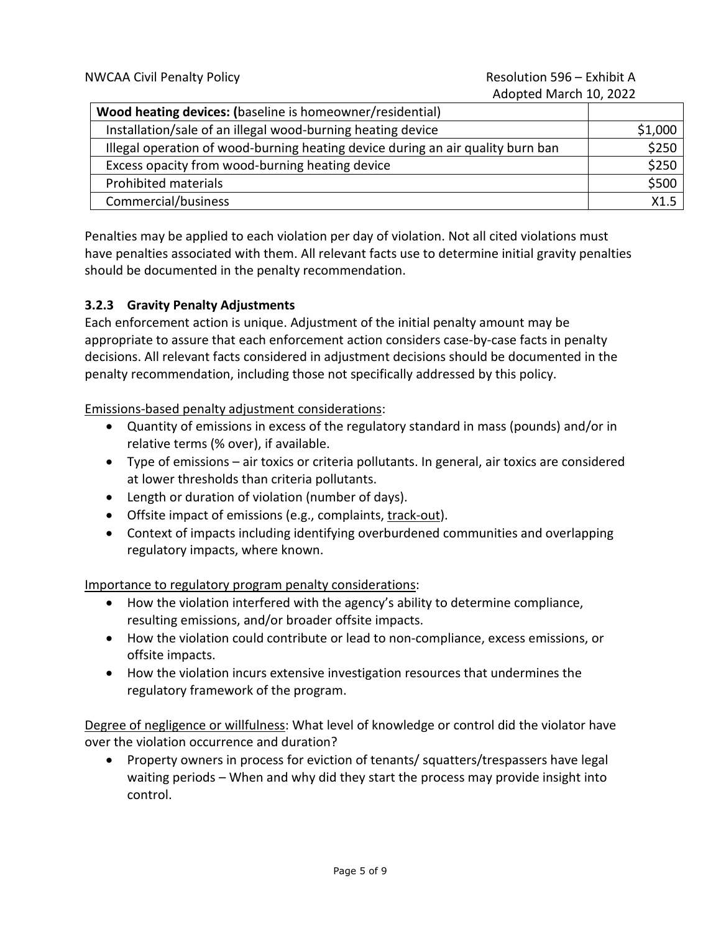# Adopted March 10, 2022

| Wood heating devices: (baseline is homeowner/residential)                       |         |
|---------------------------------------------------------------------------------|---------|
| Installation/sale of an illegal wood-burning heating device                     | \$1,000 |
| Illegal operation of wood-burning heating device during an air quality burn ban | \$250   |
| Excess opacity from wood-burning heating device                                 | \$250   |
| Prohibited materials                                                            | \$500   |
| Commercial/business                                                             | X1.5    |

Penalties may be applied to each violation per day of violation. Not all cited violations must have penalties associated with them. All relevant facts use to determine initial gravity penalties should be documented in the penalty recommendation.

### **3.2.3 Gravity Penalty Adjustments**

Each enforcement action is unique. Adjustment of the initial penalty amount may be appropriate to assure that each enforcement action considers case-by-case facts in penalty decisions. All relevant facts considered in adjustment decisions should be documented in the penalty recommendation, including those not specifically addressed by this policy.

Emissions-based penalty adjustment considerations:

- Quantity of emissions in excess of the regulatory standard in mass (pounds) and/or in relative terms (% over), if available.
- Type of emissions air toxics or criteria pollutants. In general, air toxics are considered at lower thresholds than criteria pollutants.
- Length or duration of violation (number of days).
- Offsite impact of emissions (e.g., complaints, track-out).
- Context of impacts including identifying overburdened communities and overlapping regulatory impacts, where known.

Importance to regulatory program penalty considerations:

- How the violation interfered with the agency's ability to determine compliance, resulting emissions, and/or broader offsite impacts.
- How the violation could contribute or lead to non-compliance, excess emissions, or offsite impacts.
- How the violation incurs extensive investigation resources that undermines the regulatory framework of the program.

Degree of negligence or willfulness: What level of knowledge or control did the violator have over the violation occurrence and duration?

• Property owners in process for eviction of tenants/ squatters/trespassers have legal waiting periods – When and why did they start the process may provide insight into control.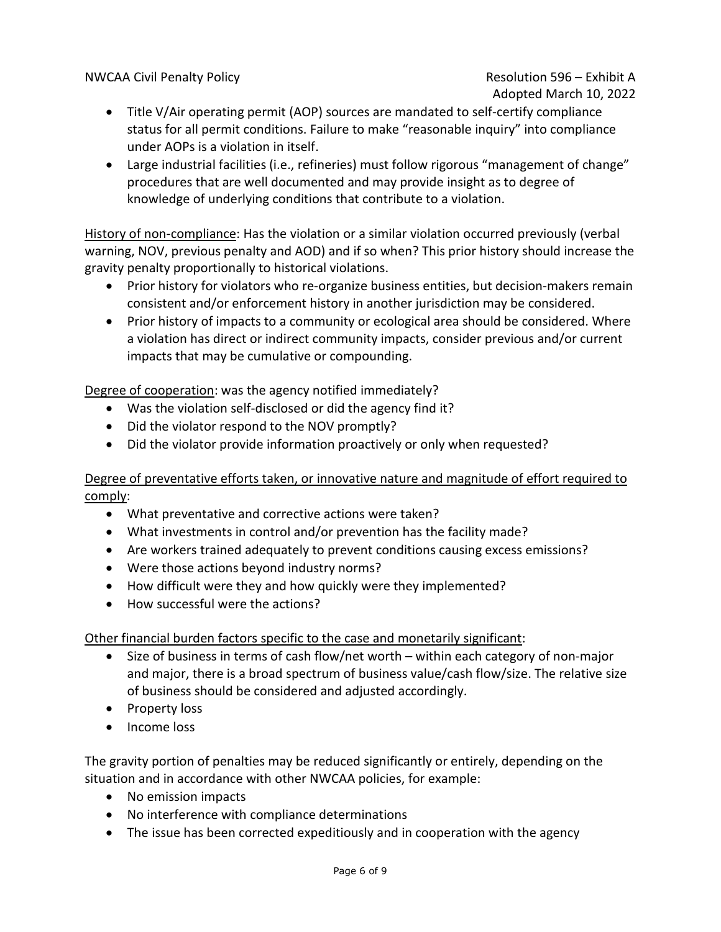NWCAA Civil Penalty Policy **Resolution 596 – Exhibit A** 

# Adopted March 10, 2022

- Title V/Air operating permit (AOP) sources are mandated to self-certify compliance status for all permit conditions. Failure to make "reasonable inquiry" into compliance under AOPs is a violation in itself.
- Large industrial facilities (i.e., refineries) must follow rigorous "management of change" procedures that are well documented and may provide insight as to degree of knowledge of underlying conditions that contribute to a violation.

History of non-compliance: Has the violation or a similar violation occurred previously (verbal warning, NOV, previous penalty and AOD) and if so when? This prior history should increase the gravity penalty proportionally to historical violations.

- Prior history for violators who re-organize business entities, but decision-makers remain consistent and/or enforcement history in another jurisdiction may be considered.
- Prior history of impacts to a community or ecological area should be considered. Where a violation has direct or indirect community impacts, consider previous and/or current impacts that may be cumulative or compounding.

Degree of cooperation: was the agency notified immediately?

- Was the violation self-disclosed or did the agency find it?
- Did the violator respond to the NOV promptly?
- Did the violator provide information proactively or only when requested?

### Degree of preventative efforts taken, or innovative nature and magnitude of effort required to comply:

- What preventative and corrective actions were taken?
- What investments in control and/or prevention has the facility made?
- Are workers trained adequately to prevent conditions causing excess emissions?
- Were those actions beyond industry norms?
- How difficult were they and how quickly were they implemented?
- How successful were the actions?

Other financial burden factors specific to the case and monetarily significant:

- Size of business in terms of cash flow/net worth within each category of non-major and major, there is a broad spectrum of business value/cash flow/size. The relative size of business should be considered and adjusted accordingly.
- Property loss
- Income loss

The gravity portion of penalties may be reduced significantly or entirely, depending on the situation and in accordance with other NWCAA policies, for example:

- No emission impacts
- No interference with compliance determinations
- The issue has been corrected expeditiously and in cooperation with the agency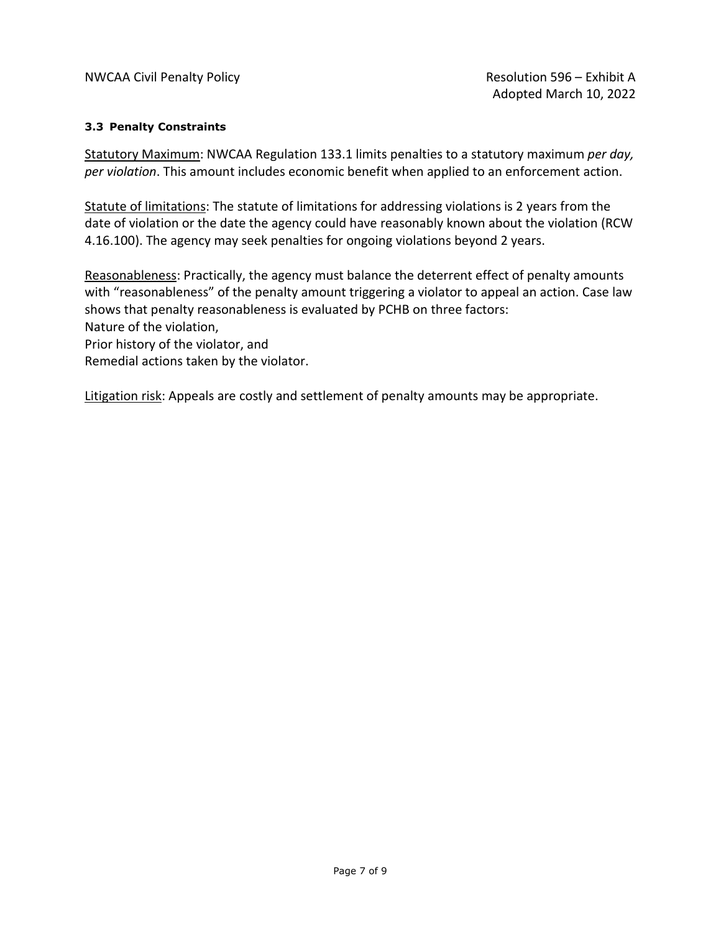#### **3.3 Penalty Constraints**

Statutory Maximum: NWCAA Regulation 133.1 limits penalties to a statutory maximum *per day, per violation*. This amount includes economic benefit when applied to an enforcement action.

Statute of limitations: The statute of limitations for addressing violations is 2 years from the date of violation or the date the agency could have reasonably known about the violation (RCW 4.16.100). The agency may seek penalties for ongoing violations beyond 2 years.

Reasonableness: Practically, the agency must balance the deterrent effect of penalty amounts with "reasonableness" of the penalty amount triggering a violator to appeal an action. Case law shows that penalty reasonableness is evaluated by PCHB on three factors:

Nature of the violation,

Prior history of the violator, and

Remedial actions taken by the violator.

Litigation risk: Appeals are costly and settlement of penalty amounts may be appropriate.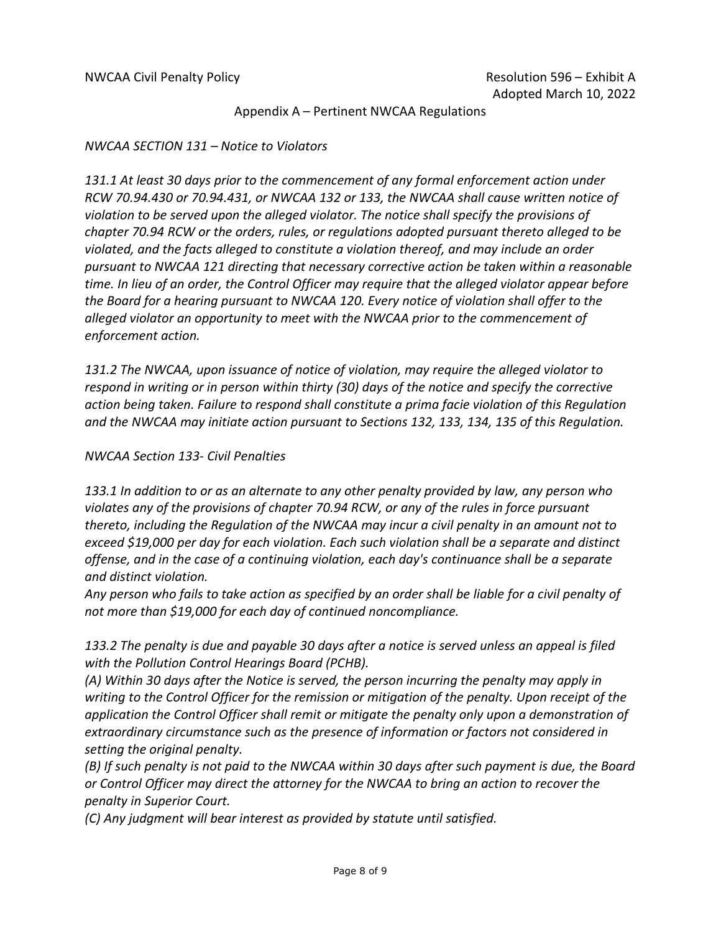Appendix A – Pertinent NWCAA Regulations

#### *NWCAA SECTION 131 – Notice to Violators*

*131.1 At least 30 days prior to the commencement of any formal enforcement action under RCW 70.94.430 or 70.94.431, or NWCAA 132 or 133, the NWCAA shall cause written notice of violation to be served upon the alleged violator. The notice shall specify the provisions of chapter 70.94 RCW or the orders, rules, or regulations adopted pursuant thereto alleged to be violated, and the facts alleged to constitute a violation thereof, and may include an order pursuant to NWCAA 121 directing that necessary corrective action be taken within a reasonable time. In lieu of an order, the Control Officer may require that the alleged violator appear before the Board for a hearing pursuant to NWCAA 120. Every notice of violation shall offer to the alleged violator an opportunity to meet with the NWCAA prior to the commencement of enforcement action.*

*131.2 The NWCAA, upon issuance of notice of violation, may require the alleged violator to respond in writing or in person within thirty (30) days of the notice and specify the corrective action being taken. Failure to respond shall constitute a prima facie violation of this Regulation and the NWCAA may initiate action pursuant to Sections 132, 133, 134, 135 of this Regulation.*

### *NWCAA Section 133- Civil Penalties*

*133.1 In addition to or as an alternate to any other penalty provided by law, any person who violates any of the provisions of chapter 70.94 RCW, or any of the rules in force pursuant thereto, including the Regulation of the NWCAA may incur a civil penalty in an amount not to exceed \$19,000 per day for each violation. Each such violation shall be a separate and distinct offense, and in the case of a continuing violation, each day's continuance shall be a separate and distinct violation.*

*Any person who fails to take action as specified by an order shall be liable for a civil penalty of not more than \$19,000 for each day of continued noncompliance.*

*133.2 The penalty is due and payable 30 days after a notice is served unless an appeal is filed with the Pollution Control Hearings Board (PCHB).*

*(A) Within 30 days after the Notice is served, the person incurring the penalty may apply in writing to the Control Officer for the remission or mitigation of the penalty. Upon receipt of the application the Control Officer shall remit or mitigate the penalty only upon a demonstration of extraordinary circumstance such as the presence of information or factors not considered in setting the original penalty.*

*(B) If such penalty is not paid to the NWCAA within 30 days after such payment is due, the Board or Control Officer may direct the attorney for the NWCAA to bring an action to recover the penalty in Superior Court.*

*(C) Any judgment will bear interest as provided by statute until satisfied.*